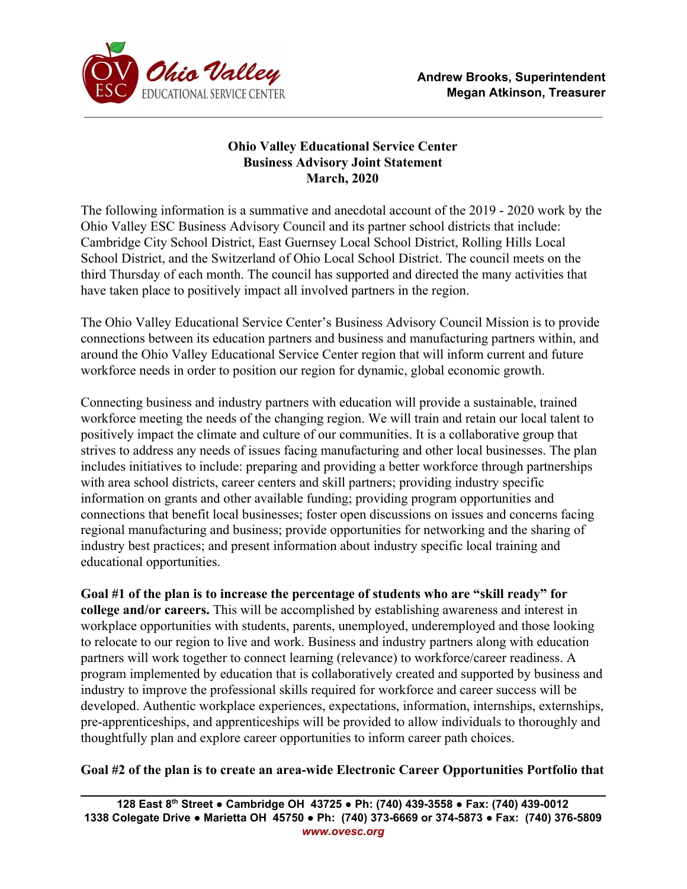

## **Ohio Valley Educational Service Center Business Advisory Joint Statement March, 2020**

The following information is a summative and anecdotal account of the 2019 - 2020 work by the Ohio Valley ESC Business Advisory Council and its partner school districts that include: Cambridge City School District, East Guernsey Local School District, Rolling Hills Local School District, and the Switzerland of Ohio Local School District. The council meets on the third Thursday of each month. The council has supported and directed the many activities that have taken place to positively impact all involved partners in the region.

The Ohio Valley Educational Service Center's Business Advisory Council Mission is to provide connections between its education partners and business and manufacturing partners within, and around the Ohio Valley Educational Service Center region that will inform current and future workforce needs in order to position our region for dynamic, global economic growth.

Connecting business and industry partners with education will provide a sustainable, trained workforce meeting the needs of the changing region. We will train and retain our local talent to positively impact the climate and culture of our communities. It is a collaborative group that strives to address any needs of issues facing manufacturing and other local businesses. The plan includes initiatives to include: preparing and providing a better workforce through partnerships with area school districts, career centers and skill partners; providing industry specific information on grants and other available funding; providing program opportunities and connections that benefit local businesses; foster open discussions on issues and concerns facing regional manufacturing and business; provide opportunities for networking and the sharing of industry best practices; and present information about industry specific local training and educational opportunities.

**Goal #1 of the plan is to increase the percentage of students who are "skill ready" for college and/or careers.** This will be accomplished by establishing awareness and interest in workplace opportunities with students, parents, unemployed, underemployed and those looking to relocate to our region to live and work. Business and industry partners along with education partners will work together to connect learning (relevance) to workforce/career readiness. A program implemented by education that is collaboratively created and supported by business and industry to improve the professional skills required for workforce and career success will be developed. Authentic workplace experiences, expectations, information, internships, externships, pre-apprenticeships, and apprenticeships will be provided to allow individuals to thoroughly and thoughtfully plan and explore career opportunities to inform career path choices.

## **Goal #2 of the plan is to create an area-wide Electronic Career Opportunities Portfolio that**

**128 East 8 th Street ● Cambridge OH 43725 ● Ph: (740) 439-3558 ● Fax: (740) 439-0012 1338 Colegate Drive ● Marietta OH 45750 ● Ph: (740) 373-6669 or 374-5873 ● Fax: (740) 376-5809** *www.ovesc.org*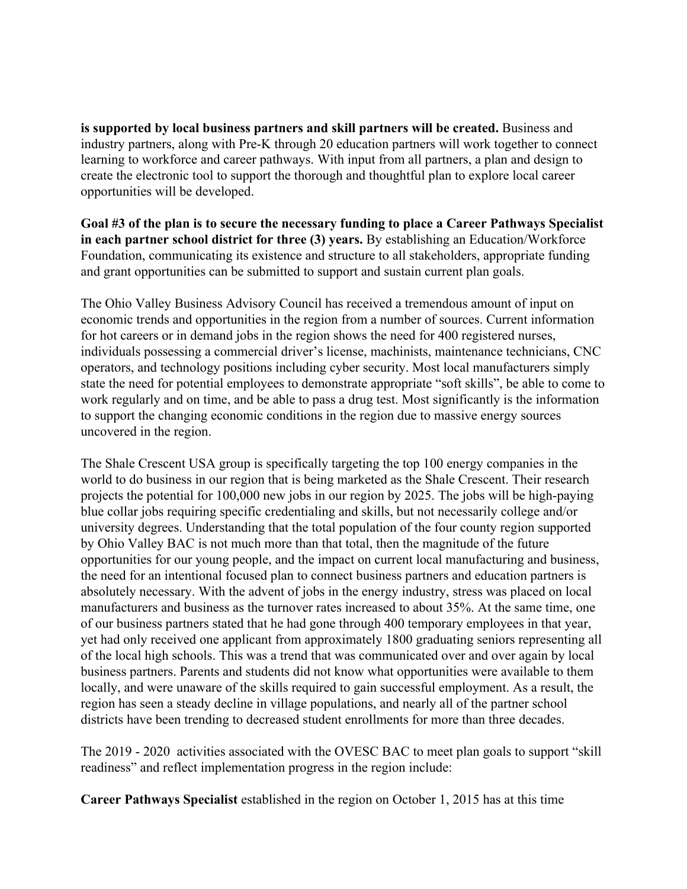**is supported by local business partners and skill partners will be created.** Business and industry partners, along with Pre-K through 20 education partners will work together to connect learning to workforce and career pathways. With input from all partners, a plan and design to create the electronic tool to support the thorough and thoughtful plan to explore local career opportunities will be developed.

**Goal #3 of the plan is to secure the necessary funding to place a Career Pathways Specialist in each partner school district for three (3) years.** By establishing an Education/Workforce Foundation, communicating its existence and structure to all stakeholders, appropriate funding and grant opportunities can be submitted to support and sustain current plan goals.

The Ohio Valley Business Advisory Council has received a tremendous amount of input on economic trends and opportunities in the region from a number of sources. Current information for hot careers or in demand jobs in the region shows the need for 400 registered nurses, individuals possessing a commercial driver's license, machinists, maintenance technicians, CNC operators, and technology positions including cyber security. Most local manufacturers simply state the need for potential employees to demonstrate appropriate "soft skills", be able to come to work regularly and on time, and be able to pass a drug test. Most significantly is the information to support the changing economic conditions in the region due to massive energy sources uncovered in the region.

The Shale Crescent USA group is specifically targeting the top 100 energy companies in the world to do business in our region that is being marketed as the Shale Crescent. Their research projects the potential for 100,000 new jobs in our region by 2025. The jobs will be high-paying blue collar jobs requiring specific credentialing and skills, but not necessarily college and/or university degrees. Understanding that the total population of the four county region supported by Ohio Valley BAC is not much more than that total, then the magnitude of the future opportunities for our young people, and the impact on current local manufacturing and business, the need for an intentional focused plan to connect business partners and education partners is absolutely necessary. With the advent of jobs in the energy industry, stress was placed on local manufacturers and business as the turnover rates increased to about 35%. At the same time, one of our business partners stated that he had gone through 400 temporary employees in that year, yet had only received one applicant from approximately 1800 graduating seniors representing all of the local high schools. This was a trend that was communicated over and over again by local business partners. Parents and students did not know what opportunities were available to them locally, and were unaware of the skills required to gain successful employment. As a result, the region has seen a steady decline in village populations, and nearly all of the partner school districts have been trending to decreased student enrollments for more than three decades.

The 2019 - 2020 activities associated with the OVESC BAC to meet plan goals to support "skill readiness" and reflect implementation progress in the region include:

**Career Pathways Specialist** established in the region on October 1, 2015 has at this time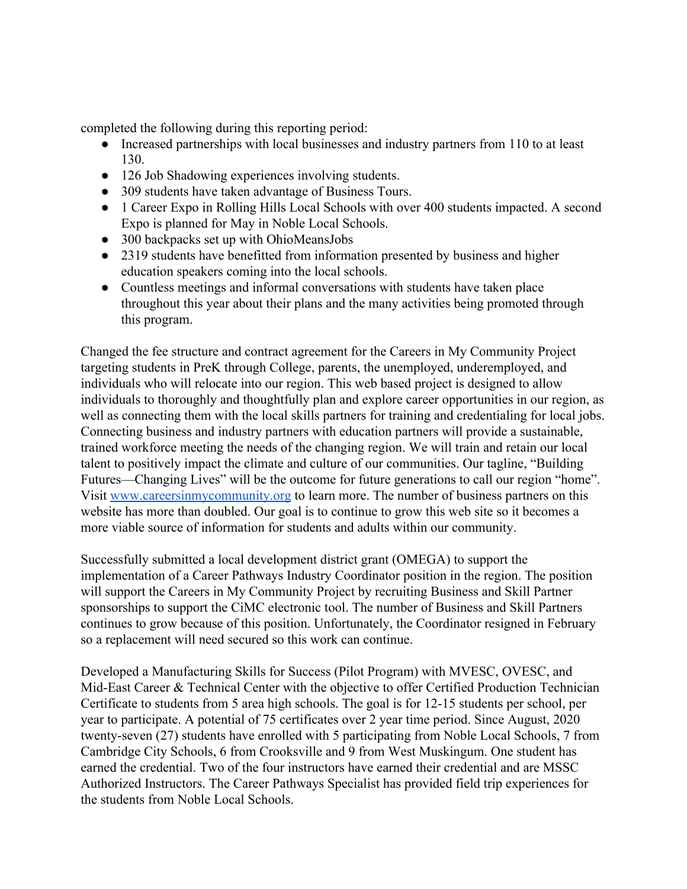completed the following during this reporting period:

- Increased partnerships with local businesses and industry partners from 110 to at least 130.
- 126 Job Shadowing experiences involving students.
- 309 students have taken advantage of Business Tours.
- 1 Career Expo in Rolling Hills Local Schools with over 400 students impacted. A second Expo is planned for May in Noble Local Schools.
- 300 backpacks set up with OhioMeansJobs
- 2319 students have benefitted from information presented by business and higher education speakers coming into the local schools.
- Countless meetings and informal conversations with students have taken place throughout this year about their plans and the many activities being promoted through this program.

Changed the fee structure and contract agreement for the Careers in My Community Project targeting students in PreK through College, parents, the unemployed, underemployed, and individuals who will relocate into our region. This web based project is designed to allow individuals to thoroughly and thoughtfully plan and explore career opportunities in our region, as well as connecting them with the local skills partners for training and credentialing for local jobs. Connecting business and industry partners with education partners will provide a sustainable, trained workforce meeting the needs of the changing region. We will train and retain our local talent to positively impact the climate and culture of our communities. Our tagline, "Building Futures—Changing Lives" will be the outcome for future generations to call our region "home". Visit [www.careersinmycommunity.org](http://www.careersinmycommunity.org/) to learn more. The number of business partners on this website has more than doubled. Our goal is to continue to grow this web site so it becomes a more viable source of information for students and adults within our community.

Successfully submitted a local development district grant (OMEGA) to support the implementation of a Career Pathways Industry Coordinator position in the region. The position will support the Careers in My Community Project by recruiting Business and Skill Partner sponsorships to support the CiMC electronic tool. The number of Business and Skill Partners continues to grow because of this position. Unfortunately, the Coordinator resigned in February so a replacement will need secured so this work can continue.

Developed a Manufacturing Skills for Success (Pilot Program) with MVESC, OVESC, and Mid-East Career & Technical Center with the objective to offer Certified Production Technician Certificate to students from 5 area high schools. The goal is for 12-15 students per school, per year to participate. A potential of 75 certificates over 2 year time period. Since August, 2020 twenty-seven (27) students have enrolled with 5 participating from Noble Local Schools, 7 from Cambridge City Schools, 6 from Crooksville and 9 from West Muskingum. One student has earned the credential. Two of the four instructors have earned their credential and are MSSC Authorized Instructors. The Career Pathways Specialist has provided field trip experiences for the students from Noble Local Schools.